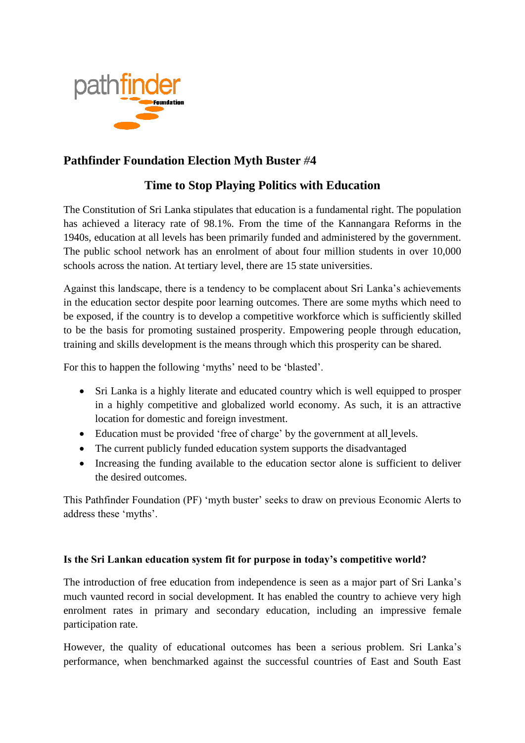

# **Pathfinder Foundation Election Myth Buster** *#***4**

# **Time to Stop Playing Politics with Education**

The Constitution of Sri Lanka stipulates that education is a fundamental right. The population has achieved a literacy rate of 98.1%. From the time of the Kannangara Reforms in the 1940s, education at all levels has been primarily funded and administered by the government. The public school network has an enrolment of about four million students in over 10,000 schools across the nation. At tertiary level, there are 15 state universities.

Against this landscape, there is a tendency to be complacent about Sri Lanka's achievements in the education sector despite poor learning outcomes. There are some myths which need to be exposed, if the country is to develop a competitive workforce which is sufficiently skilled to be the basis for promoting sustained prosperity. Empowering people through education, training and skills development is the means through which this prosperity can be shared.

For this to happen the following 'myths' need to be 'blasted'.

- Sri Lanka is a highly literate and educated country which is well equipped to prosper in a highly competitive and globalized world economy. As such, it is an attractive location for domestic and foreign investment.
- Education must be provided 'free of charge' by the government at all levels.
- The current publicly funded education system supports the disadvantaged
- Increasing the funding available to the education sector alone is sufficient to deliver the desired outcomes.

This Pathfinder Foundation (PF) 'myth buster' seeks to draw on previous Economic Alerts to address these 'myths'.

## **Is the Sri Lankan education system fit for purpose in today's competitive world?**

The introduction of free education from independence is seen as a major part of Sri Lanka's much vaunted record in social development. It has enabled the country to achieve very high enrolment rates in primary and secondary education, including an impressive female participation rate.

However, the quality of educational outcomes has been a serious problem. Sri Lanka's performance, when benchmarked against the successful countries of East and South East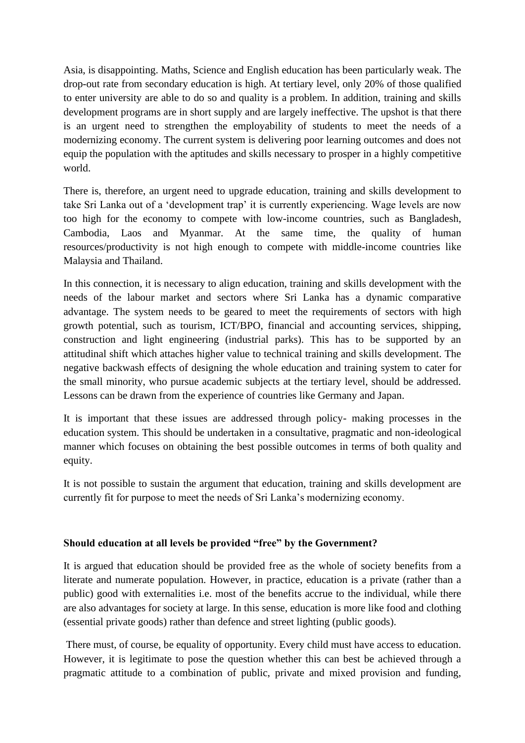Asia, is disappointing. Maths, Science and English education has been particularly weak. The drop-out rate from secondary education is high. At tertiary level, only 20% of those qualified to enter university are able to do so and quality is a problem. In addition, training and skills development programs are in short supply and are largely ineffective. The upshot is that there is an urgent need to strengthen the employability of students to meet the needs of a modernizing economy. The current system is delivering poor learning outcomes and does not equip the population with the aptitudes and skills necessary to prosper in a highly competitive world.

There is, therefore, an urgent need to upgrade education, training and skills development to take Sri Lanka out of a 'development trap' it is currently experiencing. Wage levels are now too high for the economy to compete with low-income countries, such as Bangladesh, Cambodia, Laos and Myanmar. At the same time, the quality of human resources/productivity is not high enough to compete with middle-income countries like Malaysia and Thailand.

In this connection, it is necessary to align education, training and skills development with the needs of the labour market and sectors where Sri Lanka has a dynamic comparative advantage. The system needs to be geared to meet the requirements of sectors with high growth potential, such as tourism, ICT/BPO, financial and accounting services, shipping, construction and light engineering (industrial parks). This has to be supported by an attitudinal shift which attaches higher value to technical training and skills development. The negative backwash effects of designing the whole education and training system to cater for the small minority, who pursue academic subjects at the tertiary level, should be addressed. Lessons can be drawn from the experience of countries like Germany and Japan.

It is important that these issues are addressed through policy- making processes in the education system. This should be undertaken in a consultative, pragmatic and non-ideological manner which focuses on obtaining the best possible outcomes in terms of both quality and equity.

It is not possible to sustain the argument that education, training and skills development are currently fit for purpose to meet the needs of Sri Lanka's modernizing economy.

## **Should education at all levels be provided "free" by the Government?**

It is argued that education should be provided free as the whole of society benefits from a literate and numerate population. However, in practice, education is a private (rather than a public) good with externalities i.e. most of the benefits accrue to the individual, while there are also advantages for society at large. In this sense, education is more like food and clothing (essential private goods) rather than defence and street lighting (public goods).

There must, of course, be equality of opportunity. Every child must have access to education. However, it is legitimate to pose the question whether this can best be achieved through a pragmatic attitude to a combination of public, private and mixed provision and funding,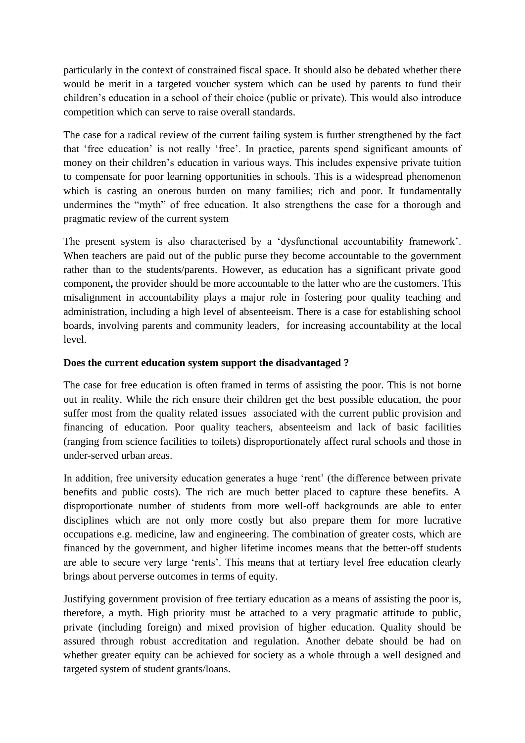particularly in the context of constrained fiscal space. It should also be debated whether there would be merit in a targeted voucher system which can be used by parents to fund their children's education in a school of their choice (public or private). This would also introduce competition which can serve to raise overall standards.

The case for a radical review of the current failing system is further strengthened by the fact that 'free education' is not really 'free'. In practice, parents spend significant amounts of money on their children's education in various ways. This includes expensive private tuition to compensate for poor learning opportunities in schools. This is a widespread phenomenon which is casting an onerous burden on many families; rich and poor. It fundamentally undermines the "myth" of free education. It also strengthens the case for a thorough and pragmatic review of the current system

The present system is also characterised by a 'dysfunctional accountability framework'. When teachers are paid out of the public purse they become accountable to the government rather than to the students/parents. However, as education has a significant private good component**,** the provider should be more accountable to the latter who are the customers. This misalignment in accountability plays a major role in fostering poor quality teaching and administration, including a high level of absenteeism. There is a case for establishing school boards, involving parents and community leaders, for increasing accountability at the local level.

#### **Does the current education system support the disadvantaged ?**

The case for free education is often framed in terms of assisting the poor. This is not borne out in reality. While the rich ensure their children get the best possible education, the poor suffer most from the quality related issues associated with the current public provision and financing of education. Poor quality teachers, absenteeism and lack of basic facilities (ranging from science facilities to toilets) disproportionately affect rural schools and those in under-served urban areas.

In addition, free university education generates a huge 'rent' (the difference between private benefits and public costs). The rich are much better placed to capture these benefits. A disproportionate number of students from more well-off backgrounds are able to enter disciplines which are not only more costly but also prepare them for more lucrative occupations e.g. medicine, law and engineering. The combination of greater costs, which are financed by the government, and higher lifetime incomes means that the better**-**off students are able to secure very large 'rents'. This means that at tertiary level free education clearly brings about perverse outcomes in terms of equity.

Justifying government provision of free tertiary education as a means of assisting the poor is, therefore, a myth. High priority must be attached to a very pragmatic attitude to public, private (including foreign) and mixed provision of higher education. Quality should be assured through robust accreditation and regulation. Another debate should be had on whether greater equity can be achieved for society as a whole through a well designed and targeted system of student grants/loans.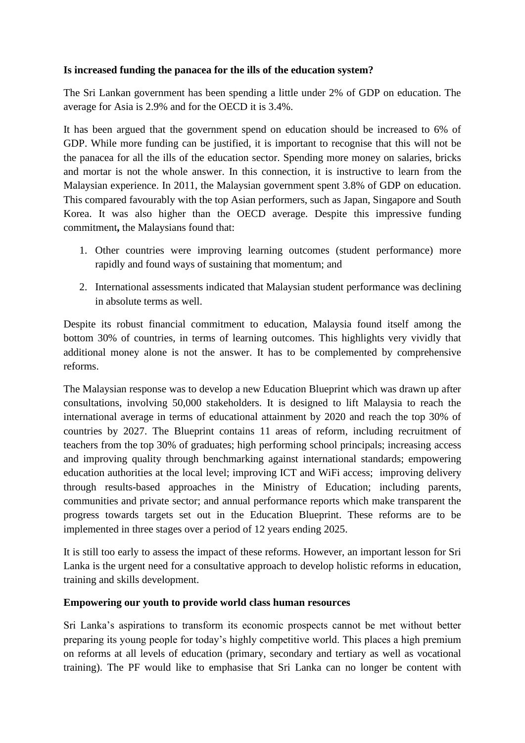### **Is increased funding the panacea for the ills of the education system?**

The Sri Lankan government has been spending a little under 2% of GDP on education. The average for Asia is 2.9% and for the OECD it is 3.4%.

It has been argued that the government spend on education should be increased to 6% of GDP. While more funding can be justified, it is important to recognise that this will not be the panacea for all the ills of the education sector. Spending more money on salaries, bricks and mortar is not the whole answer. In this connection, it is instructive to learn from the Malaysian experience. In 2011, the Malaysian government spent 3.8% of GDP on education. This compared favourably with the top Asian performers, such as Japan, Singapore and South Korea. It was also higher than the OECD average. Despite this impressive funding commitment**,** the Malaysians found that:

- 1. Other countries were improving learning outcomes (student performance) more rapidly and found ways of sustaining that momentum; and
- 2. International assessments indicated that Malaysian student performance was declining in absolute terms as well.

Despite its robust financial commitment to education, Malaysia found itself among the bottom 30% of countries, in terms of learning outcomes. This highlights very vividly that additional money alone is not the answer. It has to be complemented by comprehensive reforms.

The Malaysian response was to develop a new Education Blueprint which was drawn up after consultations, involving 50,000 stakeholders. It is designed to lift Malaysia to reach the international average in terms of educational attainment by 2020 and reach the top 30% of countries by 2027. The Blueprint contains 11 areas of reform, including recruitment of teachers from the top 30% of graduates; high performing school principals; increasing access and improving quality through benchmarking against international standards; empowering education authorities at the local level; improving ICT and WiFi access; improving delivery through results-based approaches in the Ministry of Education; including parents, communities and private sector; and annual performance reports which make transparent the progress towards targets set out in the Education Blueprint. These reforms are to be implemented in three stages over a period of 12 years ending 2025.

It is still too early to assess the impact of these reforms. However, an important lesson for Sri Lanka is the urgent need for a consultative approach to develop holistic reforms in education, training and skills development.

#### **Empowering our youth to provide world class human resources**

Sri Lanka's aspirations to transform its economic prospects cannot be met without better preparing its young people for today's highly competitive world. This places a high premium on reforms at all levels of education (primary, secondary and tertiary as well as vocational training). The PF would like to emphasise that Sri Lanka can no longer be content with